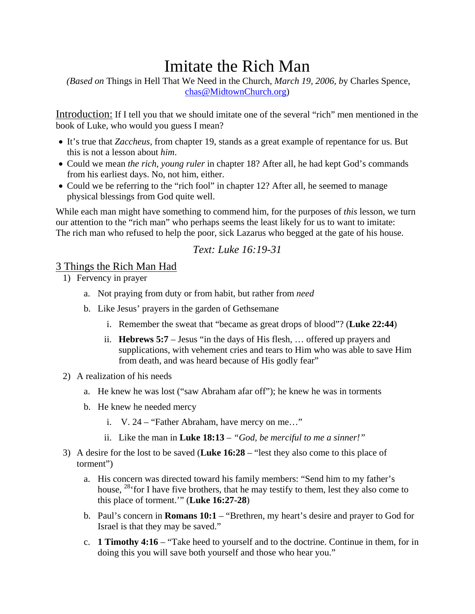# Imitate the Rich Man

 *(Based on* Things in Hell That We Need in the Church, *March 19, 2006, b*y Charles Spence, chas@MidtownChurch.org)

Introduction: If I tell you that we should imitate one of the several "rich" men mentioned in the book of Luke, who would you guess I mean?

- It's true that *Zaccheus*, from chapter 19, stands as a great example of repentance for us. But this is not a lesson about *him*.
- Could we mean *the rich, young ruler* in chapter 18? After all, he had kept God's commands from his earliest days. No, not him, either.
- Could we be referring to the "rich fool" in chapter 12? After all, he seemed to manage physical blessings from God quite well.

While each man might have something to commend him, for the purposes of *this* lesson, we turn our attention to the "rich man" who perhaps seems the least likely for us to want to imitate: The rich man who refused to help the poor, sick Lazarus who begged at the gate of his house.

# *Text: Luke 16:19-31*

### 3 Things the Rich Man Had

- 1) Fervency in prayer
	- a. Not praying from duty or from habit, but rather from *need*
	- b. Like Jesus' prayers in the garden of Gethsemane
		- i. Remember the sweat that "became as great drops of blood"? (**Luke 22:44**)
		- ii. **Hebrews 5:7** Jesus "in the days of His flesh, … offered up prayers and supplications, with vehement cries and tears to Him who was able to save Him from death, and was heard because of His godly fear"
- 2) A realization of his needs
	- a. He knew he was lost ("saw Abraham afar off"); he knew he was in torments
	- b. He knew he needed mercy
		- i. V. 24 "Father Abraham, have mercy on me…"
		- ii. Like the man in **Luke 18:13** *"God, be merciful to me a sinner!"*
- 3) A desire for the lost to be saved (**Luke 16:28** "lest they also come to this place of torment")
	- a. His concern was directed toward his family members: "Send him to my father's house, <sup>28</sup> for I have five brothers, that he may testify to them, lest they also come to this place of torment.'" (**Luke 16:27-28**)
	- b. Paul's concern in **Romans 10:1** "Brethren, my heart's desire and prayer to God for Israel is that they may be saved."
	- c. **1 Timothy 4:16** "Take heed to yourself and to the doctrine. Continue in them, for in doing this you will save both yourself and those who hear you."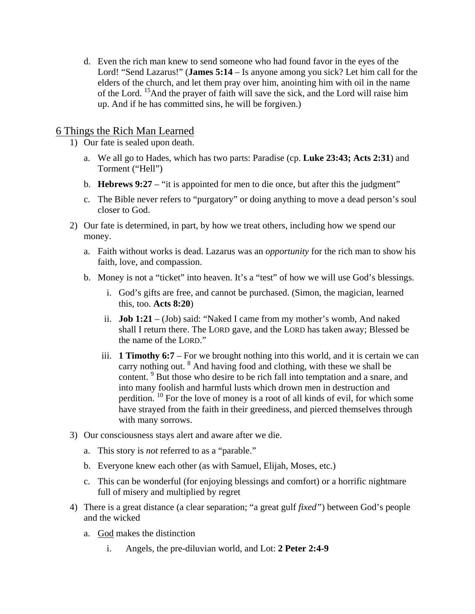d. Even the rich man knew to send someone who had found favor in the eyes of the Lord! "Send Lazarus!" (**James 5:14** – Is anyone among you sick? Let him call for the elders of the church, and let them pray over him, anointing him with oil in the name of the Lord. <sup>15</sup>And the prayer of faith will save the sick, and the Lord will raise him up. And if he has committed sins, he will be forgiven.)

# 6 Things the Rich Man Learned

- 1) Our fate is sealed upon death.
	- a. We all go to Hades, which has two parts: Paradise (cp. **Luke 23:43; Acts 2:31**) and Torment ("Hell")
	- b. **Hebrews 9:27** "it is appointed for men to die once, but after this the judgment"
	- c. The Bible never refers to "purgatory" or doing anything to move a dead person's soul closer to God.
- 2) Our fate is determined, in part, by how we treat others, including how we spend our money.
	- a. Faith without works is dead. Lazarus was an *opportunity* for the rich man to show his faith, love, and compassion.
	- b. Money is not a "ticket" into heaven. It's a "test" of how we will use God's blessings.
		- i. God's gifts are free, and cannot be purchased. (Simon, the magician, learned this, too. **Acts 8:20**)
		- ii. **Job 1:21** (Job) said: "Naked I came from my mother's womb, And naked shall I return there. The LORD gave, and the LORD has taken away; Blessed be the name of the LORD."
		- iii. **1 Timothy 6:7** For we brought nothing into this world, and it is certain we can carry nothing out. <sup>8</sup> And having food and clothing, with these we shall be content. <sup>9</sup> But those who desire to be rich fall into temptation and a snare, and into many foolish and harmful lusts which drown men in destruction and perdition. 10 For the love of money is a root of all kinds of evil, for which some have strayed from the faith in their greediness, and pierced themselves through with many sorrows.
- 3) Our consciousness stays alert and aware after we die.
	- a. This story is *not* referred to as a "parable."
	- b. Everyone knew each other (as with Samuel, Elijah, Moses, etc.)
	- c. This can be wonderful (for enjoying blessings and comfort) or a horrific nightmare full of misery and multiplied by regret
- 4) There is a great distance (a clear separation; "a great gulf *fixed"*) between God's people and the wicked
	- a. God makes the distinction
		- i. Angels, the pre-diluvian world, and Lot: **2 Peter 2:4-9**